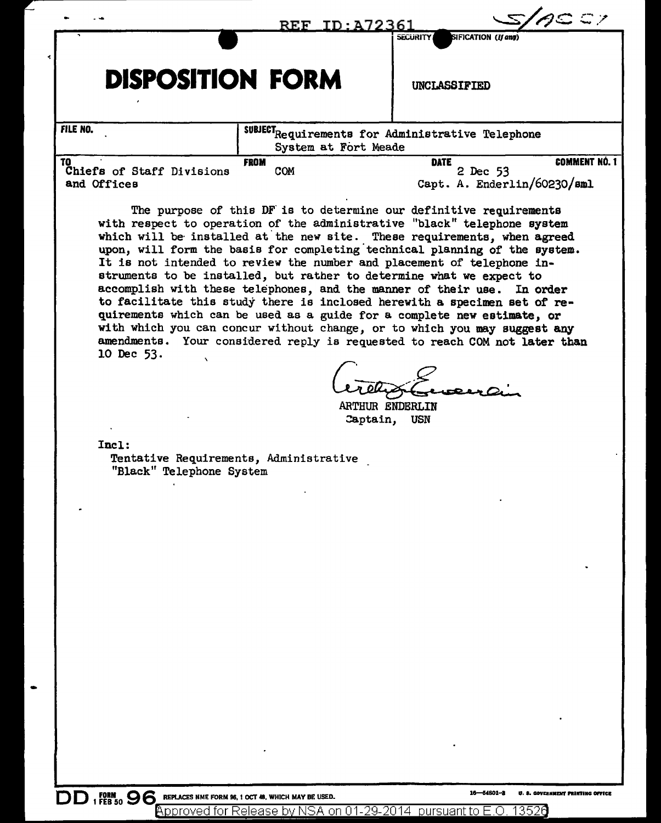|                                                 | <u>REF_ID:A72361</u>                                                                                                                                                                                                                                                                                                                                                                                                                                                                                                                                                                                                                                                                                                                                                                                                                                     |                                                               | $c \in \mathbb{Z}$   |
|-------------------------------------------------|----------------------------------------------------------------------------------------------------------------------------------------------------------------------------------------------------------------------------------------------------------------------------------------------------------------------------------------------------------------------------------------------------------------------------------------------------------------------------------------------------------------------------------------------------------------------------------------------------------------------------------------------------------------------------------------------------------------------------------------------------------------------------------------------------------------------------------------------------------|---------------------------------------------------------------|----------------------|
| <b>DISPOSITION FORM</b>                         |                                                                                                                                                                                                                                                                                                                                                                                                                                                                                                                                                                                                                                                                                                                                                                                                                                                          | SIFICATION (If any)<br><b>SECURITY</b><br><b>UNCLASSIFIED</b> |                      |
| FILE NO.                                        | SUBJECT <sub>Requirements</sub> for Administrative Telephone<br>System at Fort Meade                                                                                                                                                                                                                                                                                                                                                                                                                                                                                                                                                                                                                                                                                                                                                                     |                                                               |                      |
| TO.<br>Chiefs of Staff Divisions<br>and Offices | <b>FROM</b><br>COM                                                                                                                                                                                                                                                                                                                                                                                                                                                                                                                                                                                                                                                                                                                                                                                                                                       | <b>DATE</b><br>2 Dec 53<br>Capt. A. Enderlin/60230/sml        | <b>COMMENT NÓ. 1</b> |
| 10 Dec 53.<br>$\mathcal{N}$                     | The purpose of this DF is to determine our definitive requirements<br>with respect to operation of the administrative "black" telephone system<br>which will be installed at the new site. These requirements, when agreed<br>upon, will form the basis for completing technical planning of the system.<br>It is not intended to review the number and placement of telephone in-<br>struments to be installed, but rather to determine what we expect to<br>accomplish with these telephones, and the manner of their use. In order<br>to facilitate this study there is inclosed herewith a specimen set of re-<br>quirements which can be used as a guide for a complete new estimate, or<br>with which you can concur without change, or to which you may suggest any<br>amendments. Your considered reply is requested to reach COM not later than |                                                               |                      |

ARTHUR ENDERLIN Captain, USN

Incl:

Tentative Requirements, Administrative "Black" Telephone System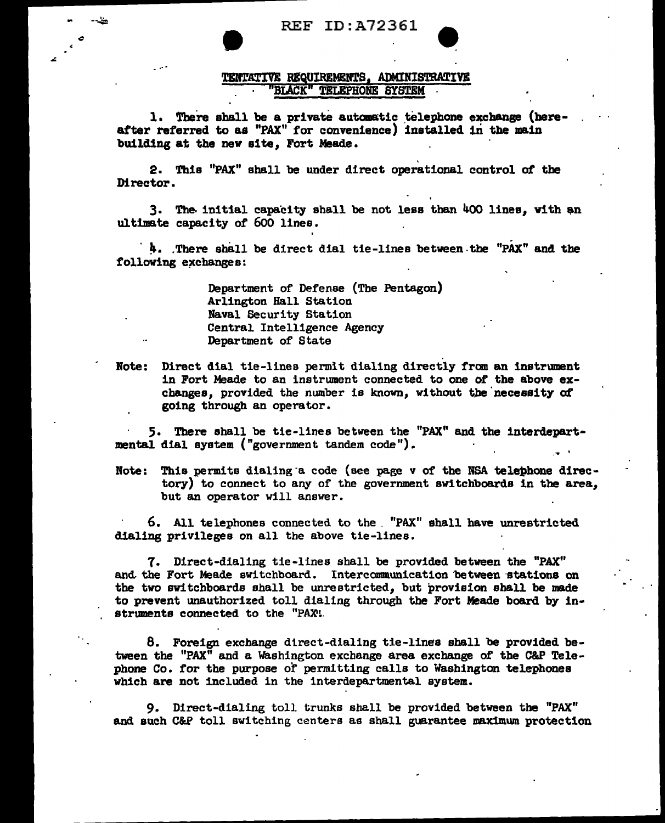REF ID:A72361

--~

...

## TENTATIVE REQUIREMENTS. ADMINISTRATIVE BIACK" TELEPHONE SYSTEM

l. There shall be a private automatic telephone exchange (hereatter referred to as "PAX" for convenience) installed in the main building at the new site. Fort Meade.

2. Thia "PAX" shall be under direct operational control of the Director.

 $3.$  The initial capacity shall be not less than  $400$  lines, with an ultimate capacity of 600 lines.

4. There shall be direct dial tie-lines between the "PAX" and the following exchanges:

> Department of Defense (The Pentagon) Arlington Hall Station Naval Security Station Central Intelligence Agency Department of State

Note: Direct dial tie-lines permit dialing directly fran an instrument in Fort Meade to an instrument connected to one of the above exchanges, provided the number is known, without the necessity of going through an operator.

5. There shall be tie-lines between the "PAX" and the interdepart-<br>mental dial system ("government tandem code").<br>Note: This permits dialing a code (see page v of the NSA telephone direc-

tory) to connect to any of the government switchboards in the area, but an operator will answer.

6. All telephones connected to the . "PAX" shall have unrestricted dialing privileges on all the above tie-lines.

7. Direct-dialing tie-lines shall be provided between the "PAX" and the Fort Meade switchboard. Intercommunication between stations on the two switchboards shall be unrestricted, but provision shall be made to prevent unauthorized toll dialing through the Fort Meade board by in· struments connected to the "PAX'.

8. Foreign exchange direct-dialing tie-lines shall be provided between the "PAX" and a washington exchange area exchange of the C&P Telephone Co. for the purpose of permitting calls to Washington telephones which are not included in the interdepartmental system.

9. Direct-dialing toll trunks shall be provided between the "PAX" and such C&P toll switching centers as shall guarantee maximwn protection